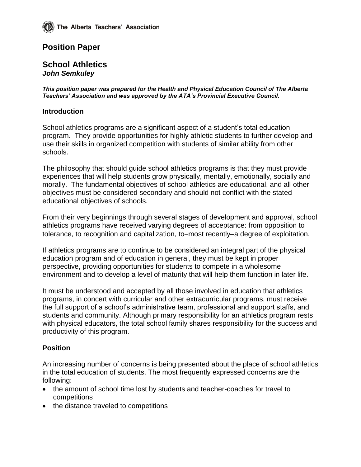# **Position Paper**

#### **School Athletics** *John Semkuley*

*This position paper was prepared for the Health and Physical Education Council of The Alberta Teachers' Association and was approved by the ATA's Provincial Executive Council.*

#### **Introduction**

School athletics programs are a significant aspect of a student's total education program. They provide opportunities for highly athletic students to further develop and use their skills in organized competition with students of similar ability from other schools.

The philosophy that should guide school athletics programs is that they must provide experiences that will help students grow physically, mentally, emotionally, socially and morally. The fundamental objectives of school athletics are educational, and all other objectives must be considered secondary and should not conflict with the stated educational objectives of schools.

From their very beginnings through several stages of development and approval, school athletics programs have received varying degrees of acceptance: from opposition to tolerance, to recognition and capitalization, to–most recently–a degree of exploitation.

If athletics programs are to continue to be considered an integral part of the physical education program and of education in general, they must be kept in proper perspective, providing opportunities for students to compete in a wholesome environment and to develop a level of maturity that will help them function in later life.

It must be understood and accepted by all those involved in education that athletics programs, in concert with curricular and other extracurricular programs, must receive the full support of a school's administrative team, professional and support staffs, and students and community. Although primary responsibility for an athletics program rests with physical educators, the total school family shares responsibility for the success and productivity of this program.

#### **Position**

An increasing number of concerns is being presented about the place of school athletics in the total education of students. The most frequently expressed concerns are the following:

- the amount of school time lost by students and teacher-coaches for travel to competitions
- the distance traveled to competitions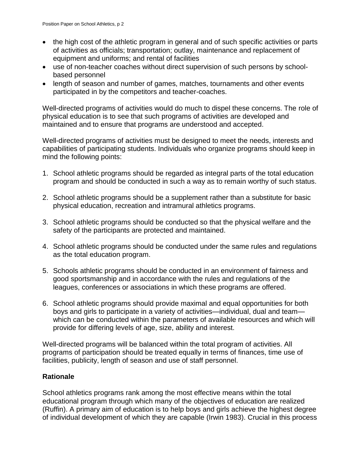- the high cost of the athletic program in general and of such specific activities or parts of activities as officials; transportation; outlay, maintenance and replacement of equipment and uniforms; and rental of facilities
- use of non-teacher coaches without direct supervision of such persons by schoolbased personnel
- length of season and number of games, matches, tournaments and other events participated in by the competitors and teacher-coaches.

Well-directed programs of activities would do much to dispel these concerns. The role of physical education is to see that such programs of activities are developed and maintained and to ensure that programs are understood and accepted.

Well-directed programs of activities must be designed to meet the needs, interests and capabilities of participating students. Individuals who organize programs should keep in mind the following points:

- 1. School athletic programs should be regarded as integral parts of the total education program and should be conducted in such a way as to remain worthy of such status.
- 2. School athletic programs should be a supplement rather than a substitute for basic physical education, recreation and intramural athletics programs.
- 3. School athletic programs should be conducted so that the physical welfare and the safety of the participants are protected and maintained.
- 4. School athletic programs should be conducted under the same rules and regulations as the total education program.
- 5. Schools athletic programs should be conducted in an environment of fairness and good sportsmanship and in accordance with the rules and regulations of the leagues, conferences or associations in which these programs are offered.
- 6. School athletic programs should provide maximal and equal opportunities for both boys and girls to participate in a variety of activities—individual, dual and team which can be conducted within the parameters of available resources and which will provide for differing levels of age, size, ability and interest.

Well-directed programs will be balanced within the total program of activities. All programs of participation should be treated equally in terms of finances, time use of facilities, publicity, length of season and use of staff personnel.

# **Rationale**

School athletics programs rank among the most effective means within the total educational program through which many of the objectives of education are realized (Ruffin). A primary aim of education is to help boys and girls achieve the highest degree of individual development of which they are capable (Irwin 1983). Crucial in this process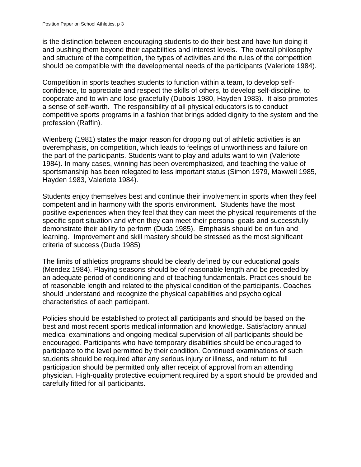is the distinction between encouraging students to do their best and have fun doing it and pushing them beyond their capabilities and interest levels. The overall philosophy and structure of the competition, the types of activities and the rules of the competition should be compatible with the developmental needs of the participants (Valeriote 1984).

Competition in sports teaches students to function within a team, to develop selfconfidence, to appreciate and respect the skills of others, to develop self-discipline, to cooperate and to win and lose gracefully (Dubois 1980, Hayden 1983). It also promotes a sense of self-worth. The responsibility of all physical educators is to conduct competitive sports programs in a fashion that brings added dignity to the system and the profession (Raffin).

Wienberg (1981) states the major reason for dropping out of athletic activities is an overemphasis, on competition, which leads to feelings of unworthiness and failure on the part of the participants. Students want to play and adults want to win (Valeriote 1984). In many cases, winning has been overemphasized, and teaching the value of sportsmanship has been relegated to less important status (Simon 1979, Maxwell 1985, Hayden 1983, Valeriote 1984).

Students enjoy themselves best and continue their involvement in sports when they feel competent and in harmony with the sports environment. Students have the most positive experiences when they feel that they can meet the physical requirements of the specific sport situation and when they can meet their personal goals and successfully demonstrate their ability to perform (Duda 1985). Emphasis should be on fun and learning. Improvement and skill mastery should be stressed as the most significant criteria of success (Duda 1985)

The limits of athletics programs should be clearly defined by our educational goals (Mendez 1984). Playing seasons should be of reasonable length and be preceded by an adequate period of conditioning and of teaching fundamentals. Practices should be of reasonable length and related to the physical condition of the participants. Coaches should understand and recognize the physical capabilities and psychological characteristics of each participant.

Policies should be established to protect all participants and should be based on the best and most recent sports medical information and knowledge. Satisfactory annual medical examinations and ongoing medical supervision of all participants should be encouraged. Participants who have temporary disabilities should be encouraged to participate to the level permitted by their condition. Continued examinations of such students should be required after any serious injury or illness, and return to full participation should be permitted only after receipt of approval from an attending physician. High-quality protective equipment required by a sport should be provided and carefully fitted for all participants.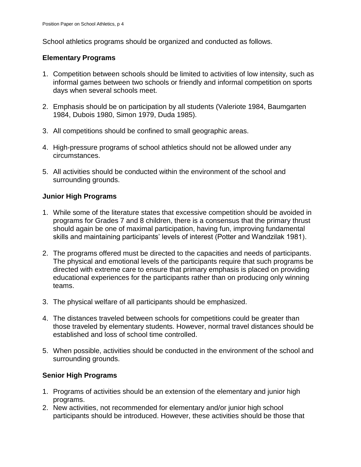School athletics programs should be organized and conducted as follows.

### **Elementary Programs**

- 1. Competition between schools should be limited to activities of low intensity, such as informal games between two schools or friendly and informal competition on sports days when several schools meet.
- 2. Emphasis should be on participation by all students (Valeriote 1984, Baumgarten 1984, Dubois 1980, Simon 1979, Duda 1985).
- 3. All competitions should be confined to small geographic areas.
- 4. High-pressure programs of school athletics should not be allowed under any circumstances.
- 5. All activities should be conducted within the environment of the school and surrounding grounds.

## **Junior High Programs**

- 1. While some of the literature states that excessive competition should be avoided in programs for Grades 7 and 8 children, there is a consensus that the primary thrust should again be one of maximal participation, having fun, improving fundamental skills and maintaining participants' levels of interest (Potter and Wandzilak 1981).
- 2. The programs offered must be directed to the capacities and needs of participants. The physical and emotional levels of the participants require that such programs be directed with extreme care to ensure that primary emphasis is placed on providing educational experiences for the participants rather than on producing only winning teams.
- 3. The physical welfare of all participants should be emphasized.
- 4. The distances traveled between schools for competitions could be greater than those traveled by elementary students. However, normal travel distances should be established and loss of school time controlled.
- 5. When possible, activities should be conducted in the environment of the school and surrounding grounds.

# **Senior High Programs**

- 1. Programs of activities should be an extension of the elementary and junior high programs.
- 2. New activities, not recommended for elementary and/or junior high school participants should be introduced. However, these activities should be those that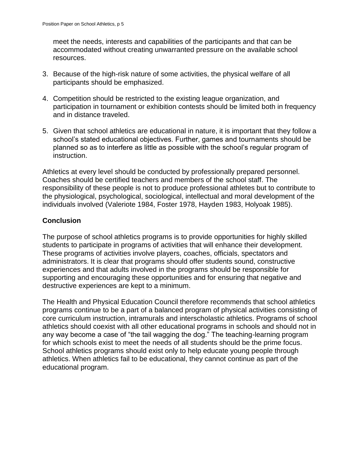meet the needs, interests and capabilities of the participants and that can be accommodated without creating unwarranted pressure on the available school resources.

- 3. Because of the high-risk nature of some activities, the physical welfare of all participants should be emphasized.
- 4. Competition should be restricted to the existing league organization, and participation in tournament or exhibition contests should be limited both in frequency and in distance traveled.
- 5. Given that school athletics are educational in nature, it is important that they follow a school's stated educational objectives. Further, games and tournaments should be planned so as to interfere as little as possible with the school's regular program of instruction.

Athletics at every level should be conducted by professionally prepared personnel. Coaches should be certified teachers and members of the school staff. The responsibility of these people is not to produce professional athletes but to contribute to the physiological, psychological, sociological, intellectual and moral development of the individuals involved (Valeriote 1984, Foster 1978, Hayden 1983, Holyoak 1985).

# **Conclusion**

The purpose of school athletics programs is to provide opportunities for highly skilled students to participate in programs of activities that will enhance their development. These programs of activities involve players, coaches, officials, spectators and administrators. It is clear that programs should offer students sound, constructive experiences and that adults involved in the programs should be responsible for supporting and encouraging these opportunities and for ensuring that negative and destructive experiences are kept to a minimum.

The Health and Physical Education Council therefore recommends that school athletics programs continue to be a part of a balanced program of physical activities consisting of core curriculum instruction, intramurals and interscholastic athletics. Programs of school athletics should coexist with all other educational programs in schools and should not in any way become a case of "the tail wagging the dog." The teaching-learning program for which schools exist to meet the needs of all students should be the prime focus. School athletics programs should exist only to help educate young people through athletics. When athletics fail to be educational, they cannot continue as part of the educational program.